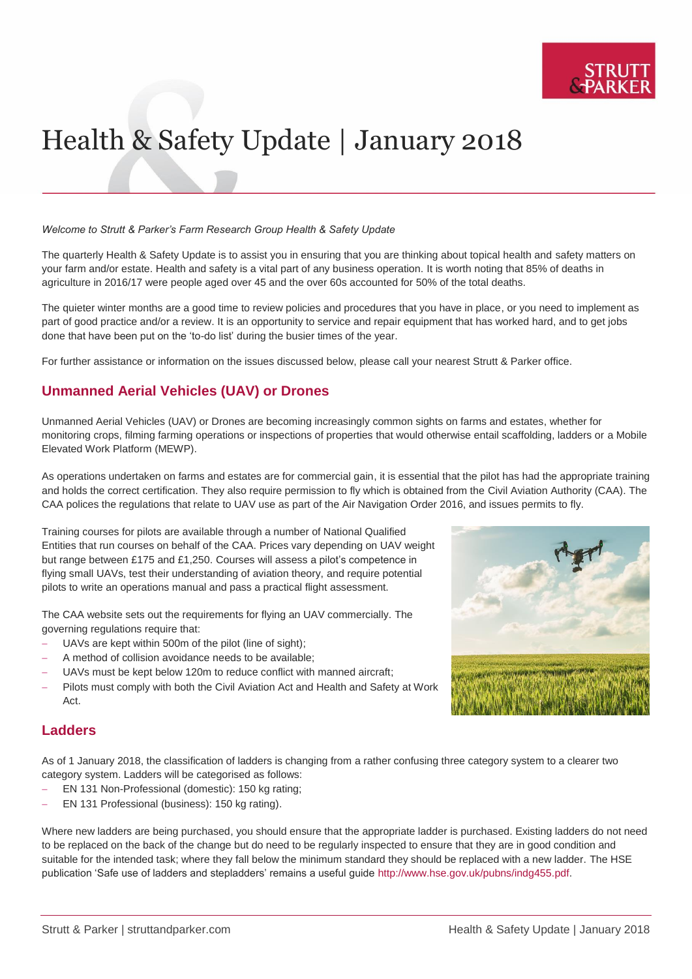

# Health & Safety Update | January 2018

#### *Welcome to Strutt & Parker's Farm Research Group Health & Safety Update*

The quarterly Health & Safety Update is to assist you in ensuring that you are thinking about topical health and safety matters on your farm and/or estate. Health and safety is a vital part of any business operation. It is worth noting that 85% of deaths in agriculture in 2016/17 were people aged over 45 and the over 60s accounted for 50% of the total deaths.

The quieter winter months are a good time to review policies and procedures that you have in place, or you need to implement as part of good practice and/or a review. It is an opportunity to service and repair equipment that has worked hard, and to get jobs done that have been put on the 'to-do list' during the busier times of the year.

For further assistance or information on the issues discussed below, please call your nearest Strutt & Parker office.

## **Unmanned Aerial Vehicles (UAV) or Drones**

Unmanned Aerial Vehicles (UAV) or Drones are becoming increasingly common sights on farms and estates, whether for monitoring crops, filming farming operations or inspections of properties that would otherwise entail scaffolding, ladders or a Mobile Elevated Work Platform (MEWP).

As operations undertaken on farms and estates are for commercial gain, it is essential that the pilot has had the appropriate training and holds the correct certification. They also require permission to fly which is obtained from the Civil Aviation Authority (CAA). The CAA polices the regulations that relate to UAV use as part of the Air Navigation Order 2016, and issues permits to fly.

Training courses for pilots are available through a number of National Qualified Entities that run courses on behalf of the CAA. Prices vary depending on UAV weight but range between £175 and £1,250. Courses will assess a pilot's competence in flying small UAVs, test their understanding of aviation theory, and require potential pilots to write an operations manual and pass a practical flight assessment.

The CAA website sets out the requirements for flying an UAV commercially. The governing regulations require that:

- UAVs are kept within 500m of the pilot (line of sight);
- A method of collision avoidance needs to be available;
- UAVs must be kept below 120m to reduce conflict with manned aircraft;
- Pilots must comply with both the Civil Aviation Act and Health and Safety at Work Act.



## **Ladders**

As of 1 January 2018, the classification of ladders is changing from a rather confusing three category system to a clearer two category system. Ladders will be categorised as follows:

- EN 131 Non-Professional (domestic): 150 kg rating;
- EN 131 Professional (business): 150 kg rating).

Where new ladders are being purchased, you should ensure that the appropriate ladder is purchased. Existing ladders do not need to be replaced on the back of the change but do need to be regularly inspected to ensure that they are in good condition and suitable for the intended task; where they fall below the minimum standard they should be replaced with a new ladder. The HSE publication 'Safe use of ladders and stepladders' remains a useful guide [http://www.hse.gov.uk/pubns/indg455.pdf.](http://www.hse.gov.uk/pubns/indg455.pdf)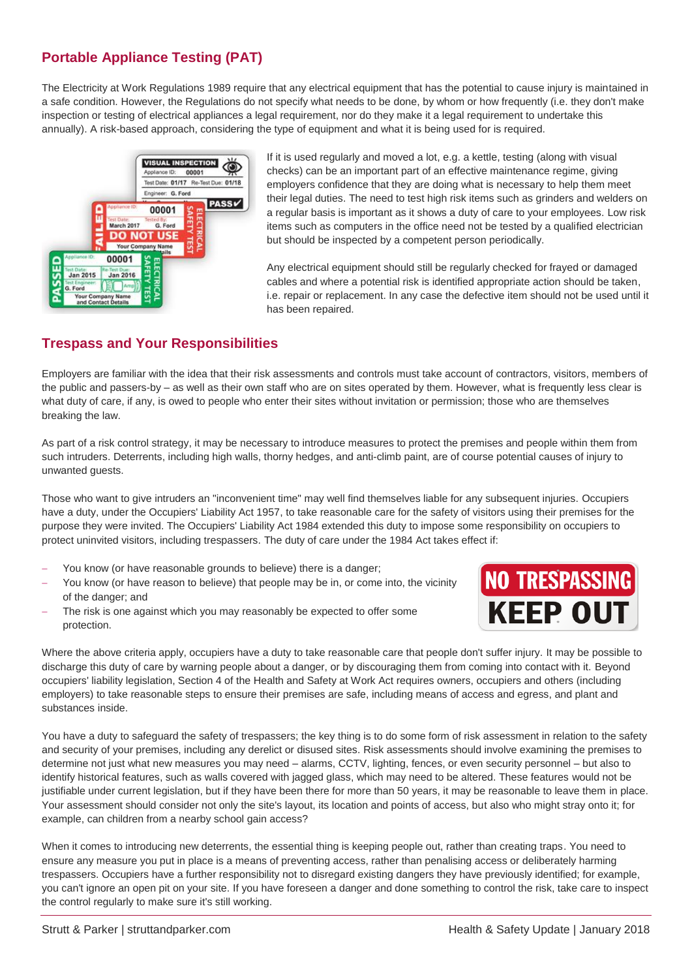# **Portable Appliance Testing (PAT)**

The Electricity at Work Regulations 1989 require that any electrical equipment that has the potential to cause injury is maintained in a safe condition. However, the Regulations do not specify what needs to be done, by whom or how frequently (i.e. they don't make inspection or testing of electrical appliances a legal requirement, nor do they make it a legal requirement to undertake this annually). A risk-based approach, considering the type of equipment and what it is being used for is required.



If it is used regularly and moved a lot, e.g. a kettle, testing (along with visual checks) can be an important part of an effective maintenance regime, giving employers confidence that they are doing what is necessary to help them meet their legal duties. The need to test high risk items such as grinders and welders on a regular basis is important as it shows a duty of care to your employees. Low risk items such as computers in the office need not be tested by a qualified electrician but should be inspected by a competent person periodically.

Any electrical equipment should still be regularly checked for frayed or damaged cables and where a potential risk is identified appropriate action should be taken, i.e. repair or replacement. In any case the defective item should not be used until it has been repaired.

# **Trespass and Your Responsibilities**

Employers are familiar with the idea that their risk assessments and controls must take account of contractors, visitors, members of the public and passers-by – as well as their own staff who are on sites operated by them. However, what is frequently less clear is what duty of care, if any, is owed to people who enter their sites without invitation or permission; those who are themselves breaking the law.

As part of a risk control strategy, it may be necessary to introduce measures to protect the premises and people within them from such intruders. Deterrents, including high walls, thorny hedges, and anti-climb paint, are of course potential causes of injury to unwanted guests.

Those who want to give intruders an "inconvenient time" may well find themselves liable for any subsequent injuries. Occupiers have a duty, under the Occupiers' Liability Act 1957, to take reasonable care for the safety of visitors using their premises for the purpose they were invited. The Occupiers' Liability Act 1984 extended this duty to impose some responsibility on occupiers to protect uninvited visitors, including trespassers. The duty of care under the 1984 Act takes effect if:

- You know (or have reasonable grounds to believe) there is a danger;
- You know (or have reason to believe) that people may be in, or come into, the vicinity of the danger; and
- The risk is one against which you may reasonably be expected to offer some protection.



Where the above criteria apply, occupiers have a duty to take reasonable care that people don't suffer injury. It may be possible to discharge this duty of care by warning people about a danger, or by discouraging them from coming into contact with it. Beyond occupiers' liability legislation, Section 4 of the Health and Safety at Work Act requires owners, occupiers and others (including employers) to take reasonable steps to ensure their premises are safe, including means of access and egress, and plant and substances inside.

You have a duty to safeguard the safety of trespassers; the key thing is to do some form of risk assessment in relation to the safety and security of your premises, including any derelict or disused sites. Risk assessments should involve examining the premises to determine not just what new measures you may need – alarms, CCTV, lighting, fences, or even security personnel – but also to identify historical features, such as walls covered with jagged glass, which may need to be altered. These features would not be justifiable under current legislation, but if they have been there for more than 50 years, it may be reasonable to leave them in place. Your assessment should consider not only the site's layout, its location and points of access, but also who might stray onto it; for example, can children from a nearby school gain access?

When it comes to introducing new deterrents, the essential thing is keeping people out, rather than creating traps. You need to ensure any measure you put in place is a means of preventing access, rather than penalising access or deliberately harming trespassers. Occupiers have a further responsibility not to disregard existing dangers they have previously identified; for example, you can't ignore an open pit on your site. If you have foreseen a danger and done something to control the risk, take care to inspect the control regularly to make sure it's still working.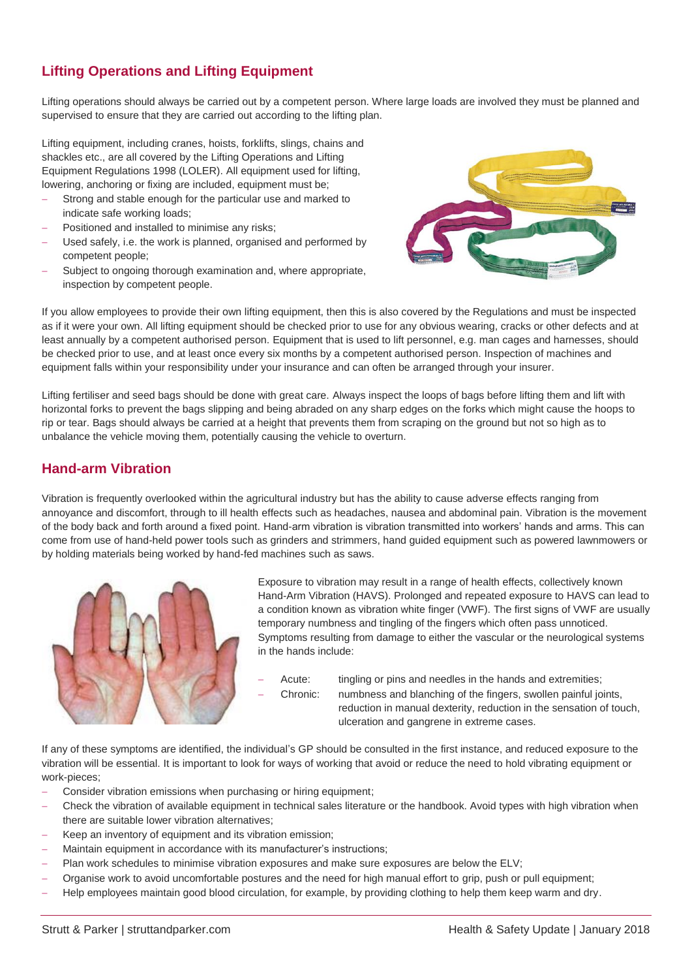# **Lifting Operations and Lifting Equipment**

Lifting operations should always be carried out by a competent person. Where large loads are involved they must be planned and supervised to ensure that they are carried out according to the lifting plan.

Lifting equipment, including cranes, hoists, forklifts, slings, chains and shackles etc., are all covered by the Lifting Operations and Lifting Equipment Regulations 1998 (LOLER). All equipment used for lifting, lowering, anchoring or fixing are included, equipment must be;

- Strong and stable enough for the particular use and marked to indicate safe working loads;
- Positioned and installed to minimise any risks;
- Used safely, i.e. the work is planned, organised and performed by competent people;
- Subject to ongoing thorough examination and, where appropriate, inspection by competent people.



If you allow employees to provide their own lifting equipment, then this is also covered by the Regulations and must be inspected as if it were your own. All lifting equipment should be checked prior to use for any obvious wearing, cracks or other defects and at least annually by a competent authorised person. Equipment that is used to lift personnel, e.g. man cages and harnesses, should be checked prior to use, and at least once every six months by a competent authorised person. Inspection of machines and equipment falls within your responsibility under your insurance and can often be arranged through your insurer.

Lifting fertiliser and seed bags should be done with great care. Always inspect the loops of bags before lifting them and lift with horizontal forks to prevent the bags slipping and being abraded on any sharp edges on the forks which might cause the hoops to rip or tear. Bags should always be carried at a height that prevents them from scraping on the ground but not so high as to unbalance the vehicle moving them, potentially causing the vehicle to overturn.

## **Hand-arm Vibration**

Vibration is frequently overlooked within the agricultural industry but has the ability to cause adverse effects ranging from annoyance and discomfort, through to ill health effects such as headaches, nausea and abdominal pain. Vibration is the movement of the body back and forth around a fixed point. Hand-arm vibration is vibration transmitted into workers' hands and arms. This can come from use of hand-held power tools such as grinders and strimmers, hand guided equipment such as powered lawnmowers or by holding materials being worked by hand-fed machines such as saws.



Exposure to vibration may result in a range of health effects, collectively known Hand-Arm Vibration (HAVS). Prolonged and repeated exposure to HAVS can lead to a condition known as vibration white finger (VWF). The first signs of VWF are usually temporary numbness and tingling of the fingers which often pass unnoticed. Symptoms resulting from damage to either the vascular or the neurological systems in the hands include:

Acute: tingling or pins and needles in the hands and extremities; Chronic: numbness and blanching of the fingers, swollen painful joints, reduction in manual dexterity, reduction in the sensation of touch, ulceration and gangrene in extreme cases.

If any of these symptoms are identified, the individual's GP should be consulted in the first instance, and reduced exposure to the vibration will be essential. It is important to look for ways of working that avoid or reduce the need to hold vibrating equipment or work-pieces;

- Consider vibration emissions when purchasing or hiring equipment;
- Check the vibration of available equipment in technical sales literature or the handbook. Avoid types with high vibration when there are suitable lower vibration alternatives;
- Keep an inventory of equipment and its vibration emission;
- Maintain equipment in accordance with its manufacturer's instructions;
- Plan work schedules to minimise vibration exposures and make sure exposures are below the ELV;
- Organise work to avoid uncomfortable postures and the need for high manual effort to grip, push or pull equipment;
- Help employees maintain good blood circulation, for example, by providing clothing to help them keep warm and dry.